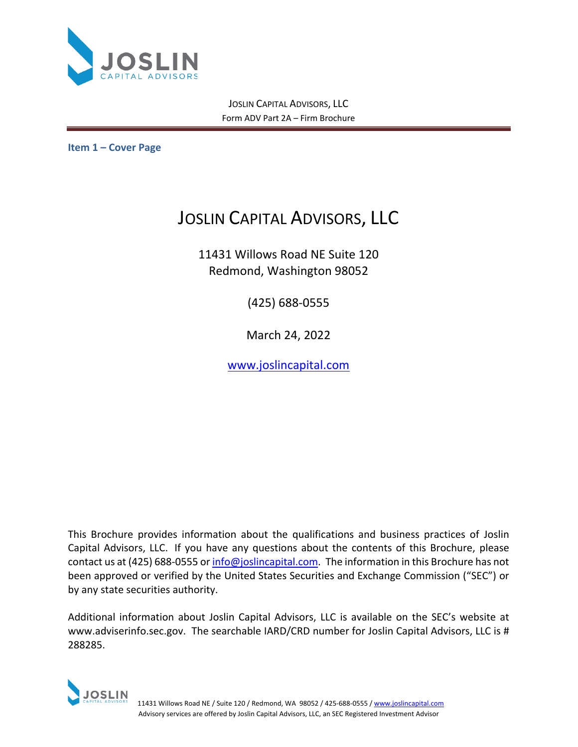

JOSLIN CAPITAL ADVISORS, LLC Form ADV Part 2A – Firm Brochure

<span id="page-0-0"></span>**Item 1 – Cover Page**

# JOSLIN CAPITAL ADVISORS, LLC

11431 Willows Road NE Suite 120 Redmond, Washington 98052

(425) 688-0555

March 24, 2022

[www.joslincapital.com](http://www.joslincapital.com/)

This Brochure provides information about the qualifications and business practices of Joslin Capital Advisors, LLC. If you have any questions about the contents of this Brochure, please contact us at (425) 688-0555 or [info@joslincapital.com.](mailto:info@joslincapital.com) The information in this Brochure has not been approved or verified by the United States Securities and Exchange Commission ("SEC") or by any state securities authority.

Additional information about Joslin Capital Advisors, LLC is available on the SEC's website at www.adviserinfo.sec.gov. The searchable IARD/CRD number for Joslin Capital Advisors, LLC is # 288285.

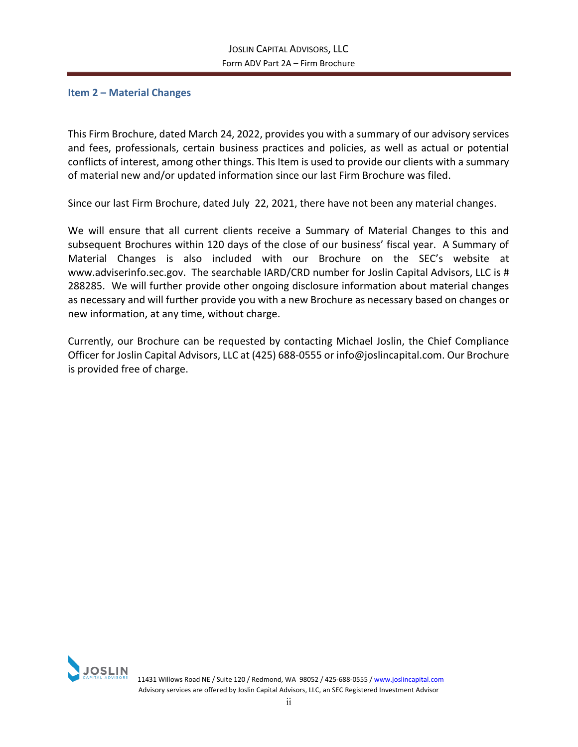## <span id="page-1-0"></span>**Item 2 – Material Changes**

This Firm Brochure, dated March 24, 2022, provides you with a summary of our advisory services and fees, professionals, certain business practices and policies, as well as actual or potential conflicts of interest, among other things. This Item is used to provide our clients with a summary of material new and/or updated information since our last Firm Brochure was filed.

Since our last Firm Brochure, dated July 22, 2021, there have not been any material changes.

We will ensure that all current clients receive a Summary of Material Changes to this and subsequent Brochures within 120 days of the close of our business' fiscal year. A Summary of Material Changes is also included with our Brochure on the SEC's website at www.adviserinfo.sec.gov. The searchable IARD/CRD number for Joslin Capital Advisors, LLC is # 288285. We will further provide other ongoing disclosure information about material changes as necessary and will further provide you with a new Brochure as necessary based on changes or new information, at any time, without charge.

Currently, our Brochure can be requested by contacting Michael Joslin, the Chief Compliance Officer for Joslin Capital Advisors, LLC at (425) 688-0555 or info@joslincapital.com. Our Brochure is provided free of charge.

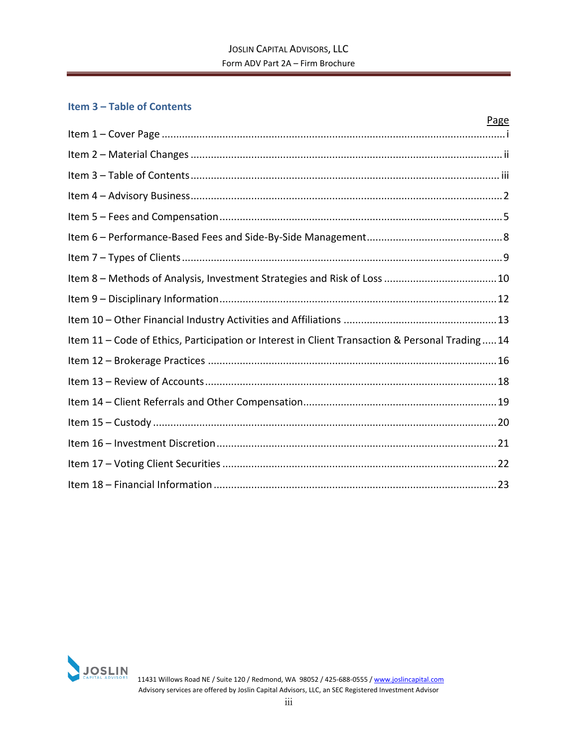## <span id="page-2-0"></span>**Item 3 – Table of Contents**

|                                                                                                | Page |
|------------------------------------------------------------------------------------------------|------|
|                                                                                                |      |
|                                                                                                |      |
|                                                                                                |      |
|                                                                                                |      |
|                                                                                                |      |
|                                                                                                |      |
|                                                                                                |      |
|                                                                                                |      |
|                                                                                                |      |
|                                                                                                |      |
| Item 11 - Code of Ethics, Participation or Interest in Client Transaction & Personal Trading14 |      |
|                                                                                                |      |
|                                                                                                |      |
|                                                                                                |      |
|                                                                                                |      |
|                                                                                                |      |
|                                                                                                |      |
|                                                                                                |      |

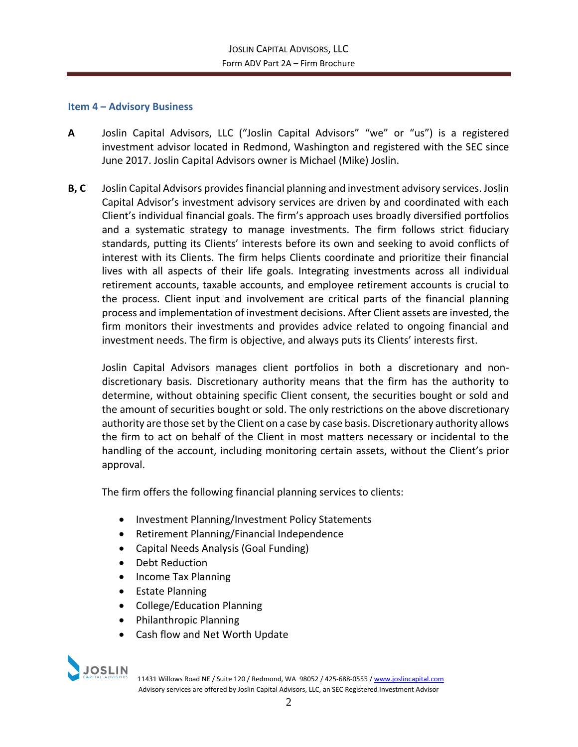## <span id="page-3-0"></span>**Item 4 – Advisory Business**

- **A** Joslin Capital Advisors, LLC ("Joslin Capital Advisors" "we" or "us") is a registered investment advisor located in Redmond, Washington and registered with the SEC since June 2017. Joslin Capital Advisors owner is Michael (Mike) Joslin.
- **B, C** Joslin Capital Advisors provides financial planning and investment advisory services. Joslin Capital Advisor's investment advisory services are driven by and coordinated with each Client's individual financial goals. The firm's approach uses broadly diversified portfolios and a systematic strategy to manage investments. The firm follows strict fiduciary standards, putting its Clients' interests before its own and seeking to avoid conflicts of interest with its Clients. The firm helps Clients coordinate and prioritize their financial lives with all aspects of their life goals. Integrating investments across all individual retirement accounts, taxable accounts, and employee retirement accounts is crucial to the process. Client input and involvement are critical parts of the financial planning process and implementation of investment decisions. After Client assets are invested, the firm monitors their investments and provides advice related to ongoing financial and investment needs. The firm is objective, and always puts its Clients' interests first.

Joslin Capital Advisors manages client portfolios in both a discretionary and nondiscretionary basis. Discretionary authority means that the firm has the authority to determine, without obtaining specific Client consent, the securities bought or sold and the amount of securities bought or sold. The only restrictions on the above discretionary authority are those set by the Client on a case by case basis. Discretionary authority allows the firm to act on behalf of the Client in most matters necessary or incidental to the handling of the account, including monitoring certain assets, without the Client's prior approval.

The firm offers the following financial planning services to clients:

- Investment Planning/Investment Policy Statements
- Retirement Planning/Financial Independence
- Capital Needs Analysis (Goal Funding)
- Debt Reduction
- Income Tax Planning
- Estate Planning
- College/Education Planning
- Philanthropic Planning
- Cash flow and Net Worth Update



 11431 Willows Road NE / Suite 120 / Redmond, WA 98052 / 425-688-0555 [/ www.joslincapital.com](http://www.joslincapital.com/) Advisory services are offered by Joslin Capital Advisors, LLC, an SEC Registered Investment Advisor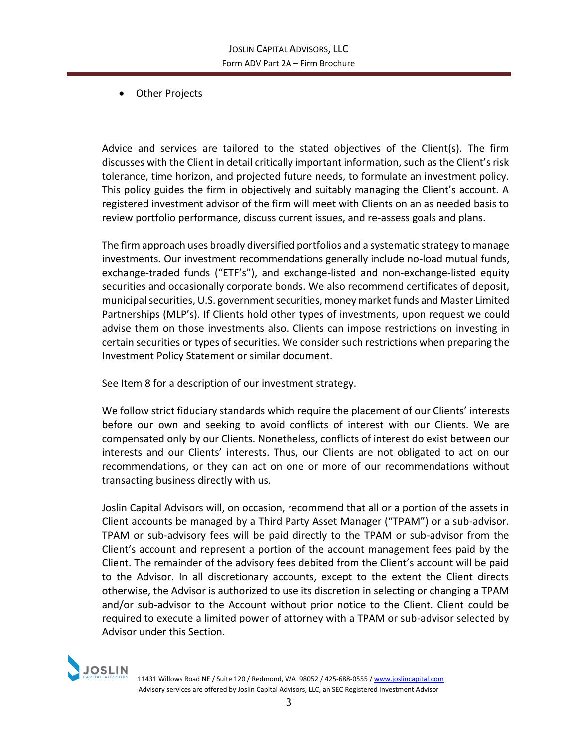• Other Projects

Advice and services are tailored to the stated objectives of the Client(s). The firm discusses with the Client in detail critically important information, such as the Client's risk tolerance, time horizon, and projected future needs, to formulate an investment policy. This policy guides the firm in objectively and suitably managing the Client's account. A registered investment advisor of the firm will meet with Clients on an as needed basis to review portfolio performance, discuss current issues, and re-assess goals and plans.

The firm approach uses broadly diversified portfolios and a systematic strategy to manage investments. Our investment recommendations generally include no-load mutual funds, exchange-traded funds ("ETF's"), and exchange-listed and non-exchange-listed equity securities and occasionally corporate bonds. We also recommend certificates of deposit, municipal securities, U.S. government securities, money market funds and Master Limited Partnerships (MLP's). If Clients hold other types of investments, upon request we could advise them on those investments also. Clients can impose restrictions on investing in certain securities or types of securities. We consider such restrictions when preparing the Investment Policy Statement or similar document.

See Item 8 for a description of our investment strategy.

We follow strict fiduciary standards which require the placement of our Clients' interests before our own and seeking to avoid conflicts of interest with our Clients. We are compensated only by our Clients. Nonetheless, conflicts of interest do exist between our interests and our Clients' interests. Thus, our Clients are not obligated to act on our recommendations, or they can act on one or more of our recommendations without transacting business directly with us.

Joslin Capital Advisors will, on occasion, recommend that all or a portion of the assets in Client accounts be managed by a Third Party Asset Manager ("TPAM") or a sub-advisor. TPAM or sub-advisory fees will be paid directly to the TPAM or sub-advisor from the Client's account and represent a portion of the account management fees paid by the Client. The remainder of the advisory fees debited from the Client's account will be paid to the Advisor. In all discretionary accounts, except to the extent the Client directs otherwise, the Advisor is authorized to use its discretion in selecting or changing a TPAM and/or sub-advisor to the Account without prior notice to the Client. Client could be required to execute a limited power of attorney with a TPAM or sub-advisor selected by Advisor under this Section.

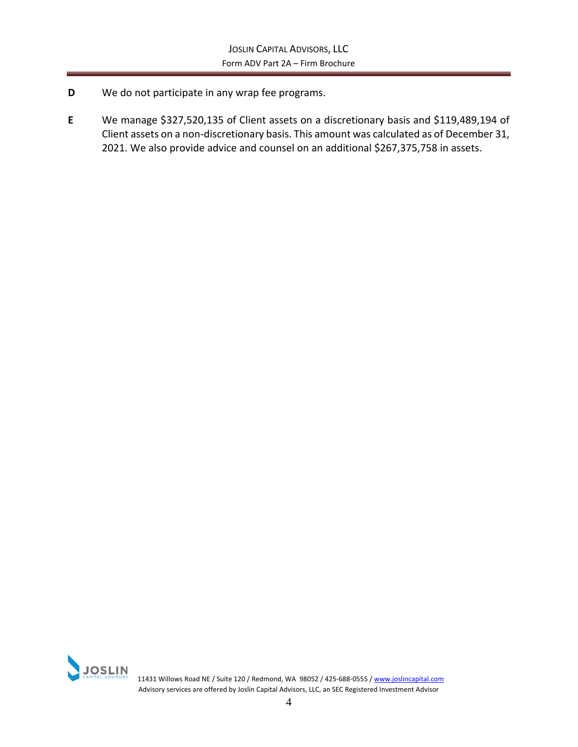- **D** We do not participate in any wrap fee programs.
- **E** We manage \$327,520,135 of Client assets on a discretionary basis and \$119,489,194 of Client assets on a non-discretionary basis. This amount was calculated as of December 31, 2021. We also provide advice and counsel on an additional \$267,375,758 in assets.

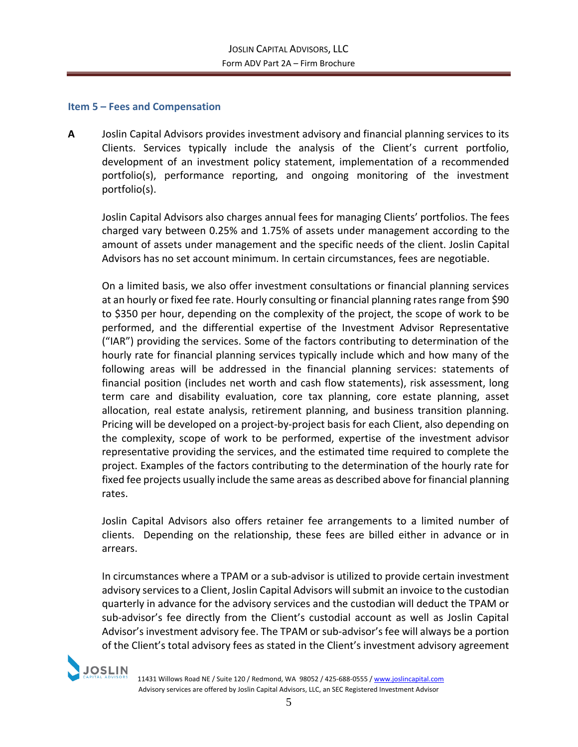## <span id="page-6-0"></span>**Item 5 – Fees and Compensation**

**A** Joslin Capital Advisors provides investment advisory and financial planning services to its Clients. Services typically include the analysis of the Client's current portfolio, development of an investment policy statement, implementation of a recommended portfolio(s), performance reporting, and ongoing monitoring of the investment portfolio(s).

Joslin Capital Advisors also charges annual fees for managing Clients' portfolios. The fees charged vary between 0.25% and 1.75% of assets under management according to the amount of assets under management and the specific needs of the client. Joslin Capital Advisors has no set account minimum. In certain circumstances, fees are negotiable.

On a limited basis, we also offer investment consultations or financial planning services at an hourly or fixed fee rate. Hourly consulting or financial planning rates range from \$90 to \$350 per hour, depending on the complexity of the project, the scope of work to be performed, and the differential expertise of the Investment Advisor Representative ("IAR") providing the services. Some of the factors contributing to determination of the hourly rate for financial planning services typically include which and how many of the following areas will be addressed in the financial planning services: statements of financial position (includes net worth and cash flow statements), risk assessment, long term care and disability evaluation, core tax planning, core estate planning, asset allocation, real estate analysis, retirement planning, and business transition planning. Pricing will be developed on a project-by-project basis for each Client, also depending on the complexity, scope of work to be performed, expertise of the investment advisor representative providing the services, and the estimated time required to complete the project. Examples of the factors contributing to the determination of the hourly rate for fixed fee projects usually include the same areas as described above for financial planning rates.

Joslin Capital Advisors also offers retainer fee arrangements to a limited number of clients. Depending on the relationship, these fees are billed either in advance or in arrears.

In circumstances where a TPAM or a sub-advisor is utilized to provide certain investment advisory services to a Client, Joslin Capital Advisors will submit an invoice to the custodian quarterly in advance for the advisory services and the custodian will deduct the TPAM or sub-advisor's fee directly from the Client's custodial account as well as Joslin Capital Advisor's investment advisory fee. The TPAM or sub-advisor's fee will always be a portion of the Client's total advisory fees as stated in the Client's investment advisory agreement



11431 Willows Road NE / Suite 120 / Redmond, WA 98052 / 425-688-0555 [/ www.joslincapital.com](http://www.joslincapital.com/) Advisory services are offered by Joslin Capital Advisors, LLC, an SEC Registered Investment Advisor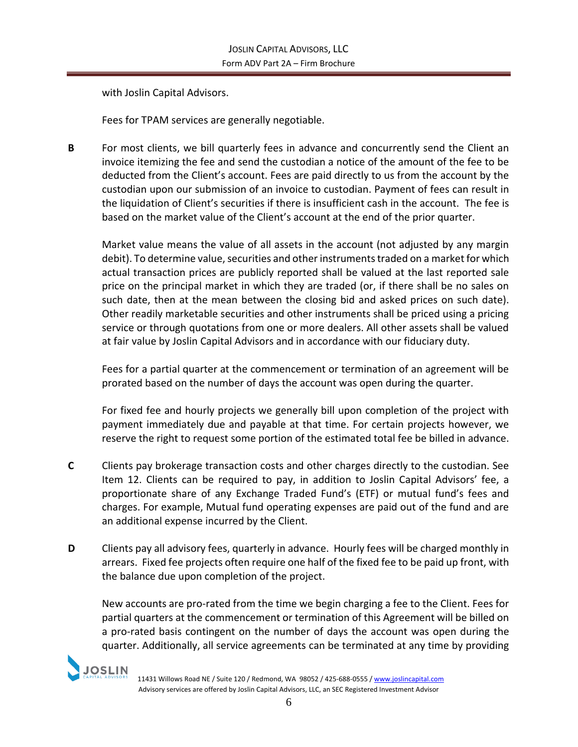with Joslin Capital Advisors.

Fees for TPAM services are generally negotiable.

**B** For most clients, we bill quarterly fees in advance and concurrently send the Client an invoice itemizing the fee and send the custodian a notice of the amount of the fee to be deducted from the Client's account. Fees are paid directly to us from the account by the custodian upon our submission of an invoice to custodian. Payment of fees can result in the liquidation of Client's securities if there is insufficient cash in the account. The fee is based on the market value of the Client's account at the end of the prior quarter.

Market value means the value of all assets in the account (not adjusted by any margin debit). To determine value, securities and other instruments traded on a market for which actual transaction prices are publicly reported shall be valued at the last reported sale price on the principal market in which they are traded (or, if there shall be no sales on such date, then at the mean between the closing bid and asked prices on such date). Other readily marketable securities and other instruments shall be priced using a pricing service or through quotations from one or more dealers. All other assets shall be valued at fair value by Joslin Capital Advisors and in accordance with our fiduciary duty.

Fees for a partial quarter at the commencement or termination of an agreement will be prorated based on the number of days the account was open during the quarter.

For fixed fee and hourly projects we generally bill upon completion of the project with payment immediately due and payable at that time. For certain projects however, we reserve the right to request some portion of the estimated total fee be billed in advance.

- **C** Clients pay brokerage transaction costs and other charges directly to the custodian. See Item 12. Clients can be required to pay, in addition to Joslin Capital Advisors' fee, a proportionate share of any Exchange Traded Fund's (ETF) or mutual fund's fees and charges. For example, Mutual fund operating expenses are paid out of the fund and are an additional expense incurred by the Client.
- **D** Clients pay all advisory fees, quarterly in advance. Hourly fees will be charged monthly in arrears. Fixed fee projects often require one half of the fixed fee to be paid up front, with the balance due upon completion of the project.

New accounts are pro-rated from the time we begin charging a fee to the Client. Fees for partial quarters at the commencement or termination of this Agreement will be billed on a pro-rated basis contingent on the number of days the account was open during the quarter. Additionally, all service agreements can be terminated at any time by providing

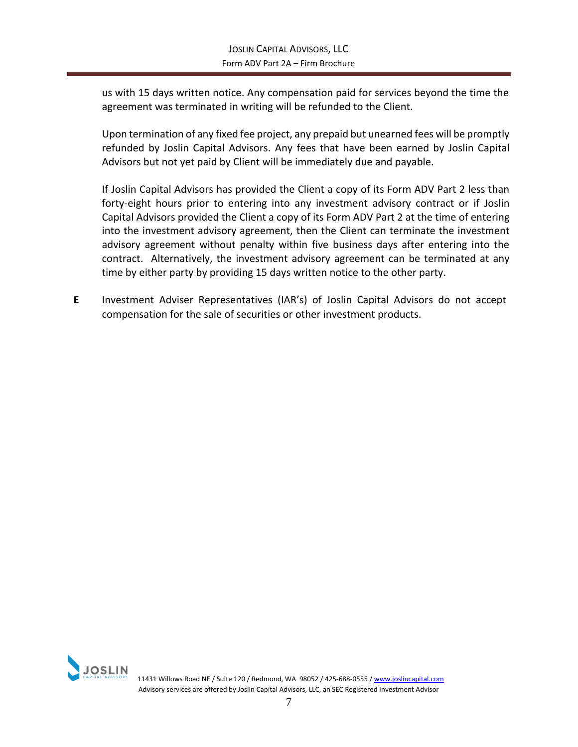us with 15 days written notice. Any compensation paid for services beyond the time the agreement was terminated in writing will be refunded to the Client.

Upon termination of any fixed fee project, any prepaid but unearned fees will be promptly refunded by Joslin Capital Advisors. Any fees that have been earned by Joslin Capital Advisors but not yet paid by Client will be immediately due and payable.

If Joslin Capital Advisors has provided the Client a copy of its Form ADV Part 2 less than forty-eight hours prior to entering into any investment advisory contract or if Joslin Capital Advisors provided the Client a copy of its Form ADV Part 2 at the time of entering into the investment advisory agreement, then the Client can terminate the investment advisory agreement without penalty within five business days after entering into the contract. Alternatively, the investment advisory agreement can be terminated at any time by either party by providing 15 days written notice to the other party.

**E** Investment Adviser Representatives (IAR's) of Joslin Capital Advisors do not accept compensation for the sale of securities or other investment products.

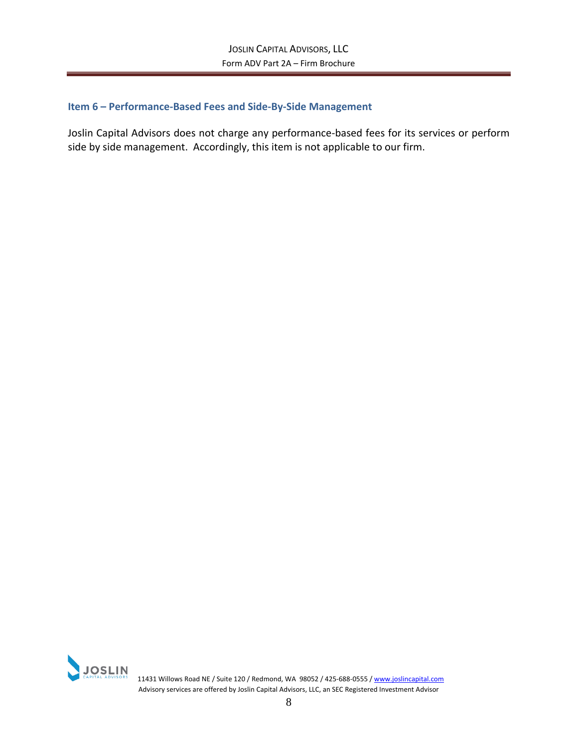## <span id="page-9-0"></span>**Item 6 – Performance-Based Fees and Side-By-Side Management**

Joslin Capital Advisors does not charge any performance-based fees for its services or perform side by side management. Accordingly, this item is not applicable to our firm.



**11431 Willows Road NE / Suite 120 / Redmond, WA 98052 / 425-688-0555 [/ www.joslincapital.com](http://www.joslincapital.com/) 60. 2016 120 / Redmond, WA 98052 / 425-688-0555 / www.joslincapital.com** Advisory services are offered by Joslin Capital Advisors, LLC, an SEC Registered Investment Advisor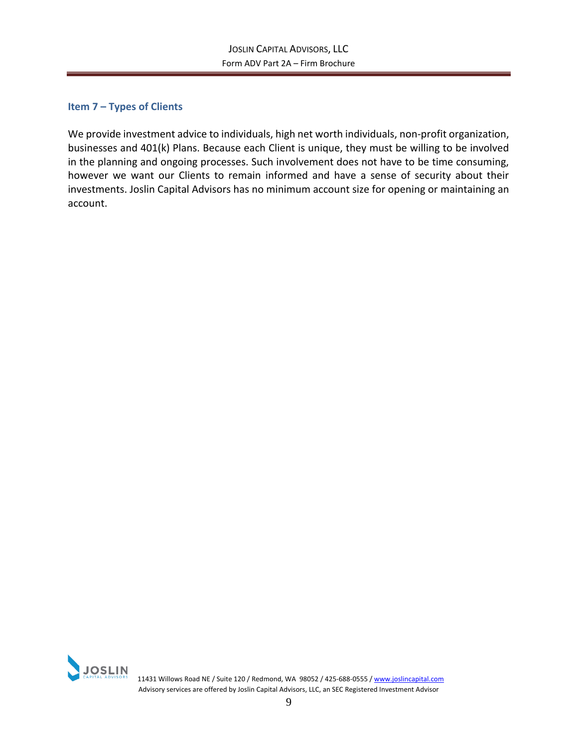## <span id="page-10-0"></span>**Item 7 – Types of Clients**

We provide investment advice to individuals, high net worth individuals, non-profit organization, businesses and 401(k) Plans. Because each Client is unique, they must be willing to be involved in the planning and ongoing processes. Such involvement does not have to be time consuming, however we want our Clients to remain informed and have a sense of security about their investments. Joslin Capital Advisors has no minimum account size for opening or maintaining an account.



 11431 Willows Road NE / Suite 120 / Redmond, WA 98052 / 425-688-0555 [/ www.joslincapital.com](http://www.joslincapital.com/) Advisory services are offered by Joslin Capital Advisors, LLC, an SEC Registered Investment Advisor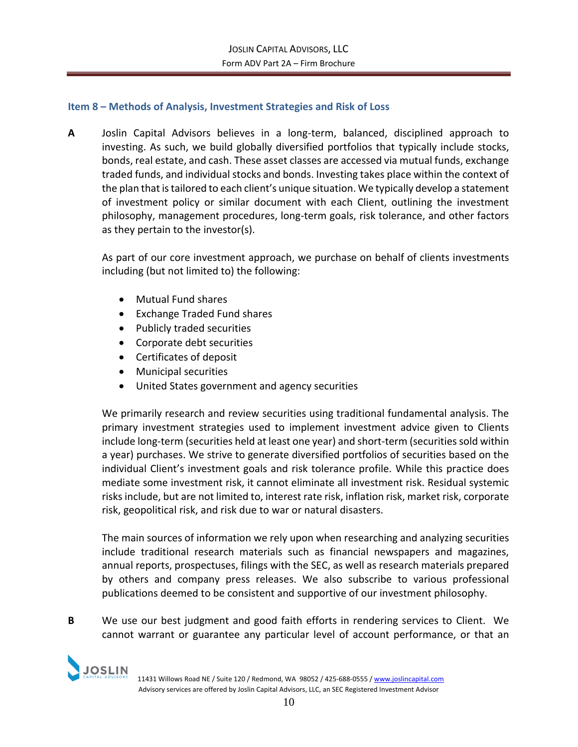## <span id="page-11-0"></span>**Item 8 – Methods of Analysis, Investment Strategies and Risk of Loss**

**A** Joslin Capital Advisors believes in a long-term, balanced, disciplined approach to investing. As such, we build globally diversified portfolios that typically include stocks, bonds, real estate, and cash. These asset classes are accessed via mutual funds, exchange traded funds, and individual stocks and bonds. Investing takes place within the context of the plan that is tailored to each client's unique situation. We typically develop a statement of investment policy or similar document with each Client, outlining the investment philosophy, management procedures, long-term goals, risk tolerance, and other factors as they pertain to the investor(s).

As part of our core investment approach, we purchase on behalf of clients investments including (but not limited to) the following:

- Mutual Fund shares
- Exchange Traded Fund shares
- Publicly traded securities
- Corporate debt securities
- Certificates of deposit
- Municipal securities
- United States government and agency securities

We primarily research and review securities using traditional fundamental analysis. The primary investment strategies used to implement investment advice given to Clients include long-term (securities held at least one year) and short-term (securities sold within a year) purchases. We strive to generate diversified portfolios of securities based on the individual Client's investment goals and risk tolerance profile. While this practice does mediate some investment risk, it cannot eliminate all investment risk. Residual systemic risks include, but are not limited to, interest rate risk, inflation risk, market risk, corporate risk, geopolitical risk, and risk due to war or natural disasters.

The main sources of information we rely upon when researching and analyzing securities include traditional research materials such as financial newspapers and magazines, annual reports, prospectuses, filings with the SEC, as well as research materials prepared by others and company press releases. We also subscribe to various professional publications deemed to be consistent and supportive of our investment philosophy.

**B** We use our best judgment and good faith efforts in rendering services to Client. We cannot warrant or guarantee any particular level of account performance, or that an



11431 Willows Road NE / Suite 120 / Redmond, WA 98052 / 425-688-0555 [/ www.joslincapital.com](http://www.joslincapital.com/) Advisory services are offered by Joslin Capital Advisors, LLC, an SEC Registered Investment Advisor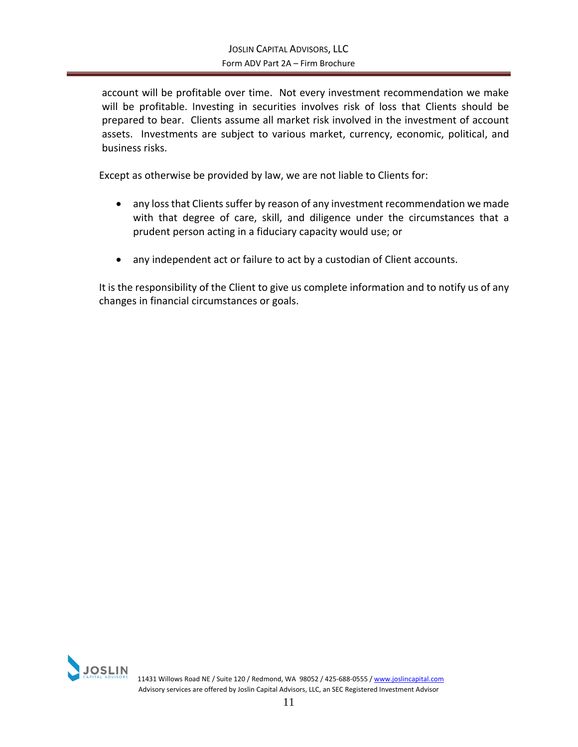account will be profitable over time. Not every investment recommendation we make will be profitable. Investing in securities involves risk of loss that Clients should be prepared to bear. Clients assume all market risk involved in the investment of account assets. Investments are subject to various market, currency, economic, political, and business risks.

Except as otherwise be provided by law, we are not liable to Clients for:

- any loss that Clients suffer by reason of any investment recommendation we made with that degree of care, skill, and diligence under the circumstances that a prudent person acting in a fiduciary capacity would use; or
- any independent act or failure to act by a custodian of Client accounts.

It is the responsibility of the Client to give us complete information and to notify us of any changes in financial circumstances or goals.

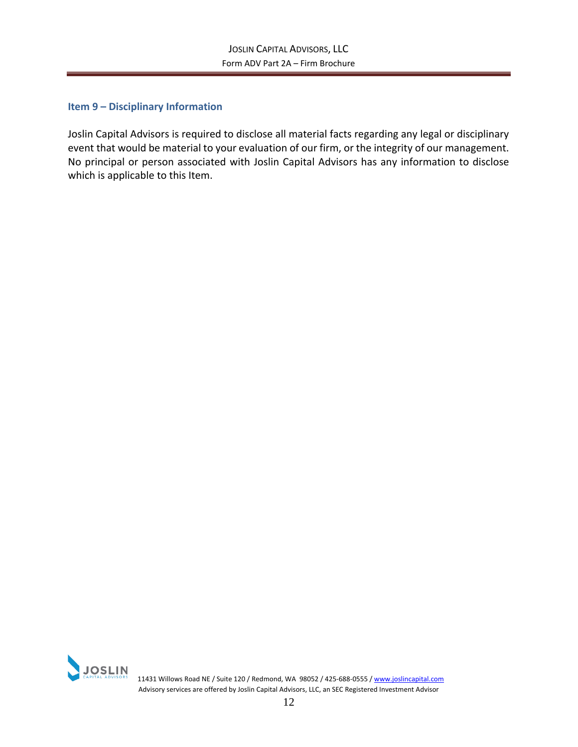## <span id="page-13-0"></span>**Item 9 – Disciplinary Information**

Joslin Capital Advisors is required to disclose all material facts regarding any legal or disciplinary event that would be material to your evaluation of our firm, or the integrity of our management. No principal or person associated with Joslin Capital Advisors has any information to disclose which is applicable to this Item.



**11431 Willows Road NE / Suite 120 / Redmond, WA 98052 / 425-688-0555 [/ www.joslincapital.com](http://www.joslincapital.com/)** Advisory services are offered by Joslin Capital Advisors, LLC, an SEC Registered Investment Advisor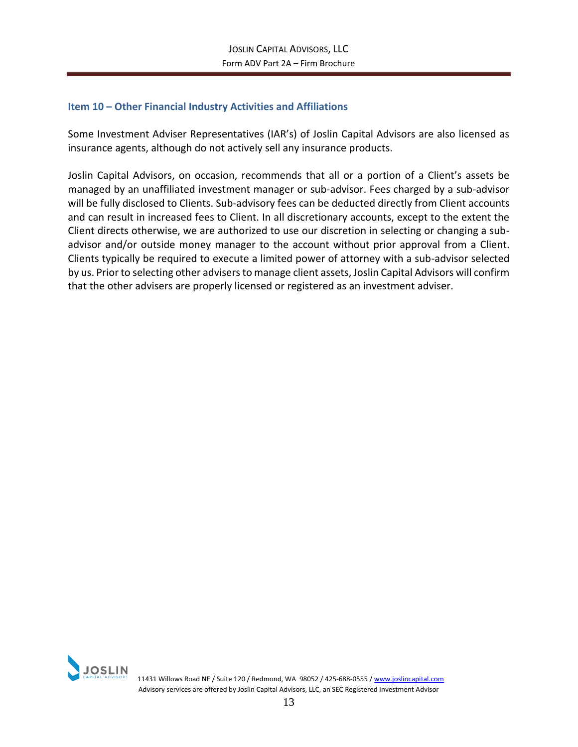## <span id="page-14-0"></span>**Item 10 – Other Financial Industry Activities and Affiliations**

Some Investment Adviser Representatives (IAR's) of Joslin Capital Advisors are also licensed as insurance agents, although do not actively sell any insurance products.

Joslin Capital Advisors, on occasion, recommends that all or a portion of a Client's assets be managed by an unaffiliated investment manager or sub-advisor. Fees charged by a sub-advisor will be fully disclosed to Clients. Sub-advisory fees can be deducted directly from Client accounts and can result in increased fees to Client. In all discretionary accounts, except to the extent the Client directs otherwise, we are authorized to use our discretion in selecting or changing a subadvisor and/or outside money manager to the account without prior approval from a Client. Clients typically be required to execute a limited power of attorney with a sub-advisor selected by us. Prior to selecting other advisers to manage client assets, Joslin Capital Advisors will confirm that the other advisers are properly licensed or registered as an investment adviser.

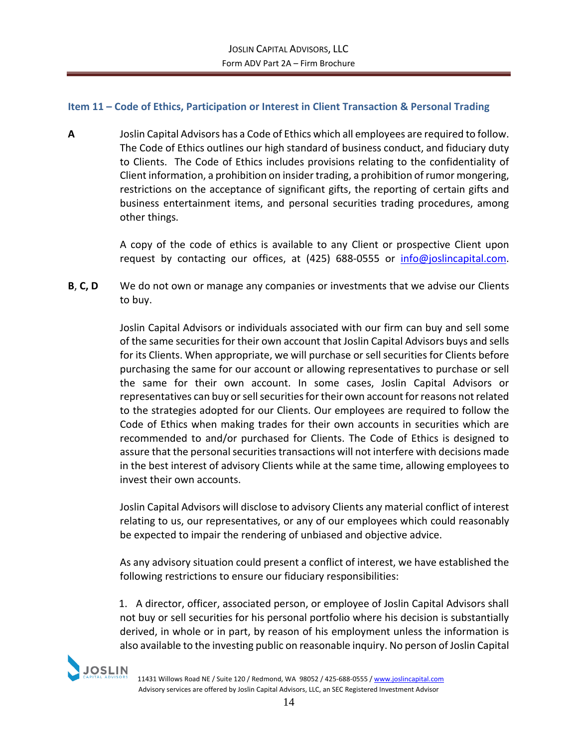## <span id="page-15-0"></span>**Item 11 – Code of Ethics, Participation or Interest in Client Transaction & Personal Trading**

**A** Joslin Capital Advisors has a Code of Ethics which all employees are required to follow. The Code of Ethics outlines our high standard of business conduct, and fiduciary duty to Clients. The Code of Ethics includes provisions relating to the confidentiality of Client information, a prohibition on insider trading, a prohibition of rumor mongering, restrictions on the acceptance of significant gifts, the reporting of certain gifts and business entertainment items, and personal securities trading procedures, among other things.

> A copy of the code of ethics is available to any Client or prospective Client upon request by contacting our offices, at (425) 688-0555 or [info@joslincapital.com.](mailto:info@joslincapital.com)

**B**, **C, D** We do not own or manage any companies or investments that we advise our Clients to buy.

> Joslin Capital Advisors or individuals associated with our firm can buy and sell some of the same securities for their own account that Joslin Capital Advisors buys and sells for its Clients. When appropriate, we will purchase or sell securities for Clients before purchasing the same for our account or allowing representatives to purchase or sell the same for their own account. In some cases, Joslin Capital Advisors or representatives can buy or sell securities for their own account for reasons not related to the strategies adopted for our Clients. Our employees are required to follow the Code of Ethics when making trades for their own accounts in securities which are recommended to and/or purchased for Clients. The Code of Ethics is designed to assure that the personal securities transactions will not interfere with decisions made in the best interest of advisory Clients while at the same time, allowing employees to invest their own accounts.

> Joslin Capital Advisors will disclose to advisory Clients any material conflict of interest relating to us, our representatives, or any of our employees which could reasonably be expected to impair the rendering of unbiased and objective advice.

> As any advisory situation could present a conflict of interest, we have established the following restrictions to ensure our fiduciary responsibilities:

> 1. A director, officer, associated person, or employee of Joslin Capital Advisors shall not buy or sell securities for his personal portfolio where his decision is substantially derived, in whole or in part, by reason of his employment unless the information is also available to the investing public on reasonable inquiry. No person of Joslin Capital

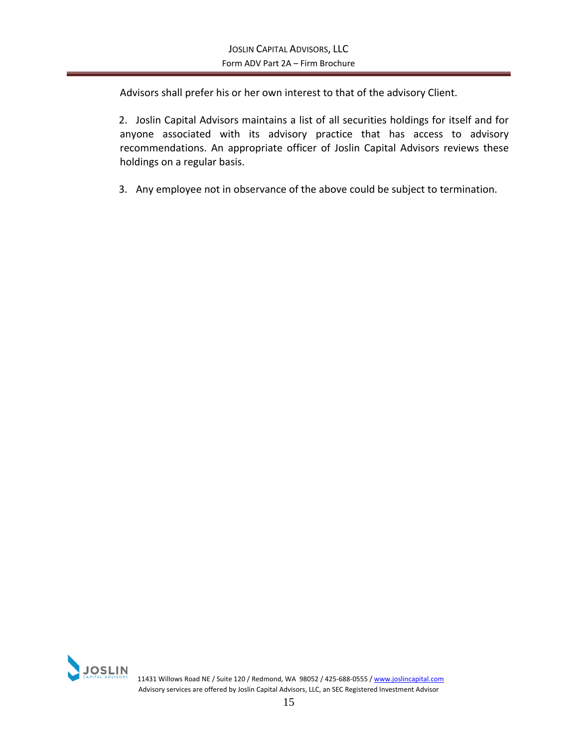Advisors shall prefer his or her own interest to that of the advisory Client.

2. Joslin Capital Advisors maintains a list of all securities holdings for itself and for anyone associated with its advisory practice that has access to advisory recommendations. An appropriate officer of Joslin Capital Advisors reviews these holdings on a regular basis.

3. Any employee not in observance of the above could be subject to termination.

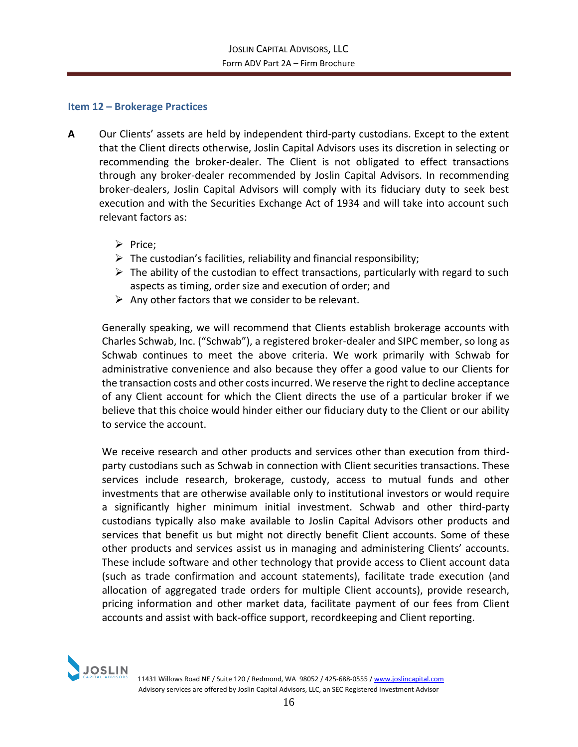## <span id="page-17-0"></span>**Item 12 – Brokerage Practices**

- **A** Our Clients' assets are held by independent third-party custodians. Except to the extent that the Client directs otherwise, Joslin Capital Advisors uses its discretion in selecting or recommending the broker-dealer. The Client is not obligated to effect transactions through any broker-dealer recommended by Joslin Capital Advisors. In recommending broker-dealers, Joslin Capital Advisors will comply with its fiduciary duty to seek best execution and with the Securities Exchange Act of 1934 and will take into account such relevant factors as:
	- ➢ Price;
	- $\triangleright$  The custodian's facilities, reliability and financial responsibility;
	- $\triangleright$  The ability of the custodian to effect transactions, particularly with regard to such aspects as timing, order size and execution of order; and
	- $\triangleright$  Any other factors that we consider to be relevant.

Generally speaking, we will recommend that Clients establish brokerage accounts with Charles Schwab, Inc. ("Schwab"), a registered broker-dealer and SIPC member, so long as Schwab continues to meet the above criteria. We work primarily with Schwab for administrative convenience and also because they offer a good value to our Clients for the transaction costs and other costs incurred. We reserve the right to decline acceptance of any Client account for which the Client directs the use of a particular broker if we believe that this choice would hinder either our fiduciary duty to the Client or our ability to service the account.

We receive research and other products and services other than execution from thirdparty custodians such as Schwab in connection with Client securities transactions. These services include research, brokerage, custody, access to mutual funds and other investments that are otherwise available only to institutional investors or would require a significantly higher minimum initial investment. Schwab and other third-party custodians typically also make available to Joslin Capital Advisors other products and services that benefit us but might not directly benefit Client accounts. Some of these other products and services assist us in managing and administering Clients' accounts. These include software and other technology that provide access to Client account data (such as trade confirmation and account statements), facilitate trade execution (and allocation of aggregated trade orders for multiple Client accounts), provide research, pricing information and other market data, facilitate payment of our fees from Client accounts and assist with back-office support, recordkeeping and Client reporting.

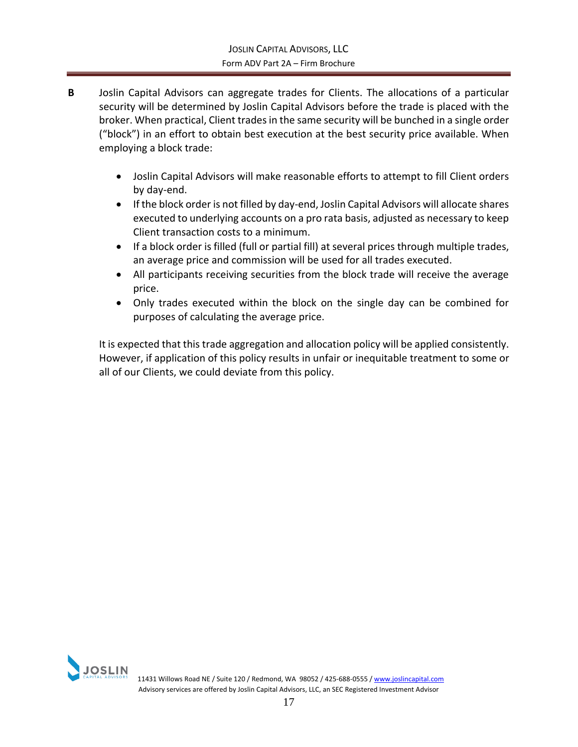- **B** Joslin Capital Advisors can aggregate trades for Clients. The allocations of a particular security will be determined by Joslin Capital Advisors before the trade is placed with the broker. When practical, Client trades in the same security will be bunched in a single order ("block") in an effort to obtain best execution at the best security price available. When employing a block trade:
	- Joslin Capital Advisors will make reasonable efforts to attempt to fill Client orders by day-end.
	- If the block order is not filled by day-end, Joslin Capital Advisors will allocate shares executed to underlying accounts on a pro rata basis, adjusted as necessary to keep Client transaction costs to a minimum.
	- If a block order is filled (full or partial fill) at several prices through multiple trades, an average price and commission will be used for all trades executed.
	- All participants receiving securities from the block trade will receive the average price.
	- Only trades executed within the block on the single day can be combined for purposes of calculating the average price.

It is expected that this trade aggregation and allocation policy will be applied consistently. However, if application of this policy results in unfair or inequitable treatment to some or all of our Clients, we could deviate from this policy.

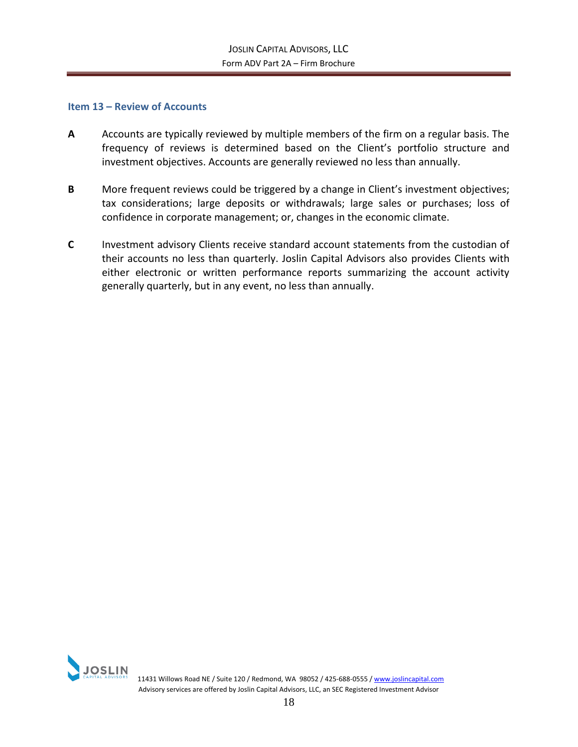#### <span id="page-19-0"></span>**Item 13 – Review of Accounts**

- **A** Accounts are typically reviewed by multiple members of the firm on a regular basis. The frequency of reviews is determined based on the Client's portfolio structure and investment objectives. Accounts are generally reviewed no less than annually.
- **B** More frequent reviews could be triggered by a change in Client's investment objectives; tax considerations; large deposits or withdrawals; large sales or purchases; loss of confidence in corporate management; or, changes in the economic climate.
- **C** Investment advisory Clients receive standard account statements from the custodian of their accounts no less than quarterly. Joslin Capital Advisors also provides Clients with either electronic or written performance reports summarizing the account activity generally quarterly, but in any event, no less than annually.

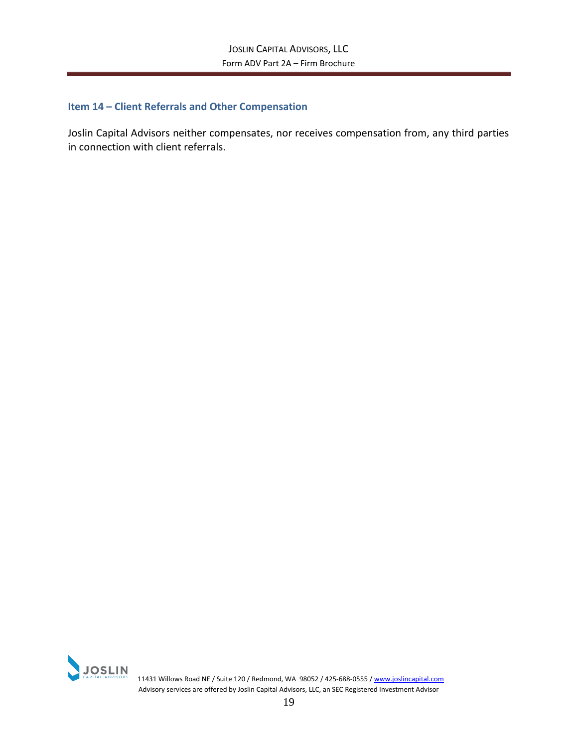## <span id="page-20-0"></span>**Item 14 – Client Referrals and Other Compensation**

Joslin Capital Advisors neither compensates, nor receives compensation from, any third parties in connection with client referrals.



**11431 Willows Road NE / Suite 120 / Redmond, WA 98052 / 425-688-0555 [/ www.joslincapital.com](http://www.joslincapital.com/) 60. 2016 120 / Redmond, WA 98052 / 425-688-0555 / www.joslincapital.com** Advisory services are offered by Joslin Capital Advisors, LLC, an SEC Registered Investment Advisor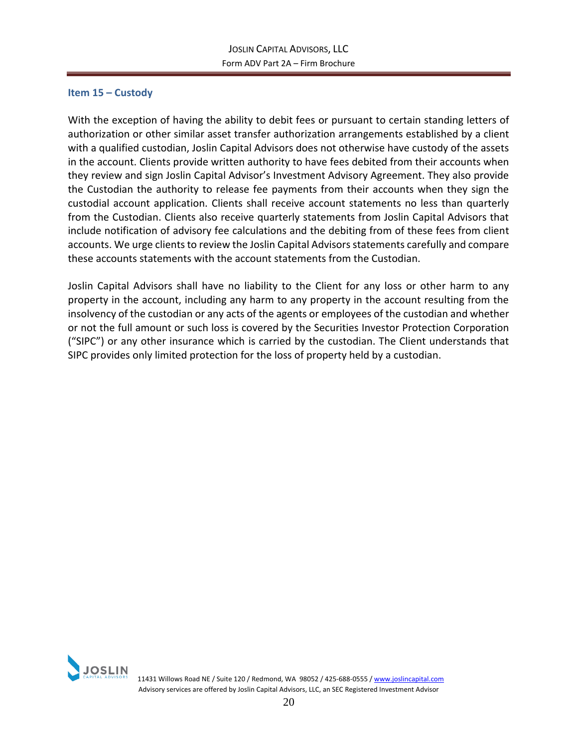## <span id="page-21-0"></span>**Item 15 – Custody**

With the exception of having the ability to debit fees or pursuant to certain standing letters of authorization or other similar asset transfer authorization arrangements established by a client with a qualified custodian, Joslin Capital Advisors does not otherwise have custody of the assets in the account. Clients provide written authority to have fees debited from their accounts when they review and sign Joslin Capital Advisor's Investment Advisory Agreement. They also provide the Custodian the authority to release fee payments from their accounts when they sign the custodial account application. Clients shall receive account statements no less than quarterly from the Custodian. Clients also receive quarterly statements from Joslin Capital Advisors that include notification of advisory fee calculations and the debiting from of these fees from client accounts. We urge clients to review the Joslin Capital Advisors statements carefully and compare these accounts statements with the account statements from the Custodian.

Joslin Capital Advisors shall have no liability to the Client for any loss or other harm to any property in the account, including any harm to any property in the account resulting from the insolvency of the custodian or any acts of the agents or employees of the custodian and whether or not the full amount or such loss is covered by the Securities Investor Protection Corporation ("SIPC") or any other insurance which is carried by the custodian. The Client understands that SIPC provides only limited protection for the loss of property held by a custodian.

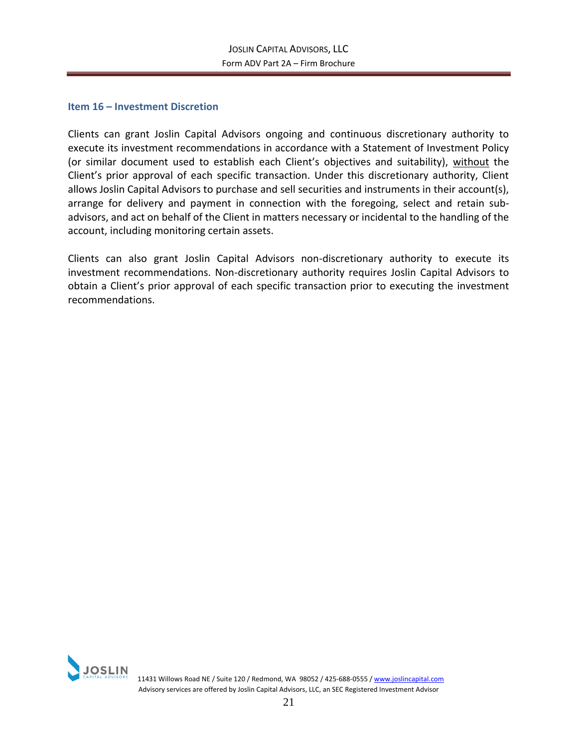#### <span id="page-22-0"></span>**Item 16 – Investment Discretion**

Clients can grant Joslin Capital Advisors ongoing and continuous discretionary authority to execute its investment recommendations in accordance with a Statement of Investment Policy (or similar document used to establish each Client's objectives and suitability), without the Client's prior approval of each specific transaction. Under this discretionary authority, Client allows Joslin Capital Advisors to purchase and sell securities and instruments in their account(s), arrange for delivery and payment in connection with the foregoing, select and retain subadvisors, and act on behalf of the Client in matters necessary or incidental to the handling of the account, including monitoring certain assets.

Clients can also grant Joslin Capital Advisors non-discretionary authority to execute its investment recommendations. Non-discretionary authority requires Joslin Capital Advisors to obtain a Client's prior approval of each specific transaction prior to executing the investment recommendations.

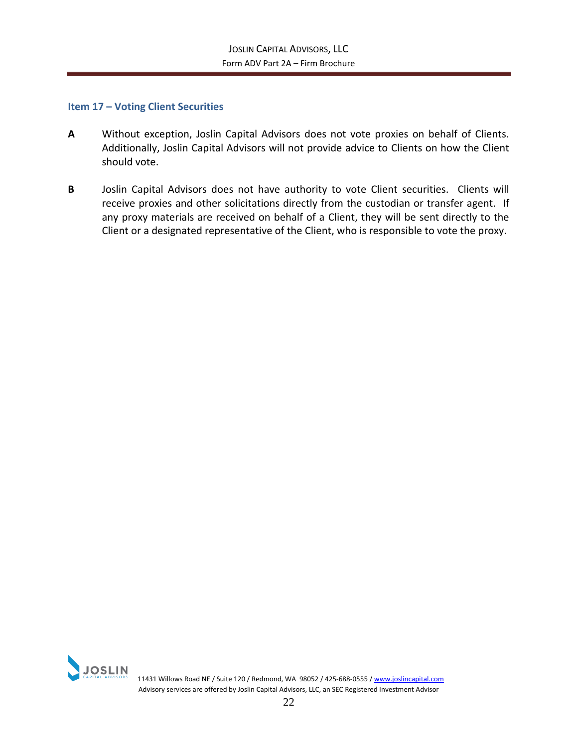### <span id="page-23-0"></span>**Item 17 – Voting Client Securities**

- **A** Without exception, Joslin Capital Advisors does not vote proxies on behalf of Clients. Additionally, Joslin Capital Advisors will not provide advice to Clients on how the Client should vote.
- **B** Joslin Capital Advisors does not have authority to vote Client securities. Clients will receive proxies and other solicitations directly from the custodian or transfer agent. If any proxy materials are received on behalf of a Client, they will be sent directly to the Client or a designated representative of the Client, who is responsible to vote the proxy.



 11431 Willows Road NE / Suite 120 / Redmond, WA 98052 / 425-688-0555 [/ www.joslincapital.com](http://www.joslincapital.com/) Advisory services are offered by Joslin Capital Advisors, LLC, an SEC Registered Investment Advisor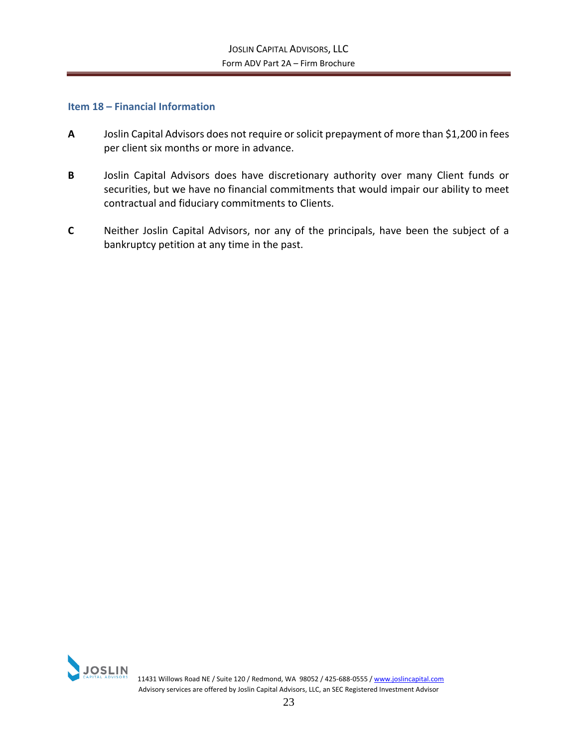#### <span id="page-24-0"></span>**Item 18 – Financial Information**

- **A** Joslin Capital Advisors does not require or solicit prepayment of more than \$1,200 in fees per client six months or more in advance.
- **B** Joslin Capital Advisors does have discretionary authority over many Client funds or securities, but we have no financial commitments that would impair our ability to meet contractual and fiduciary commitments to Clients.
- **C** Neither Joslin Capital Advisors, nor any of the principals, have been the subject of a bankruptcy petition at any time in the past.

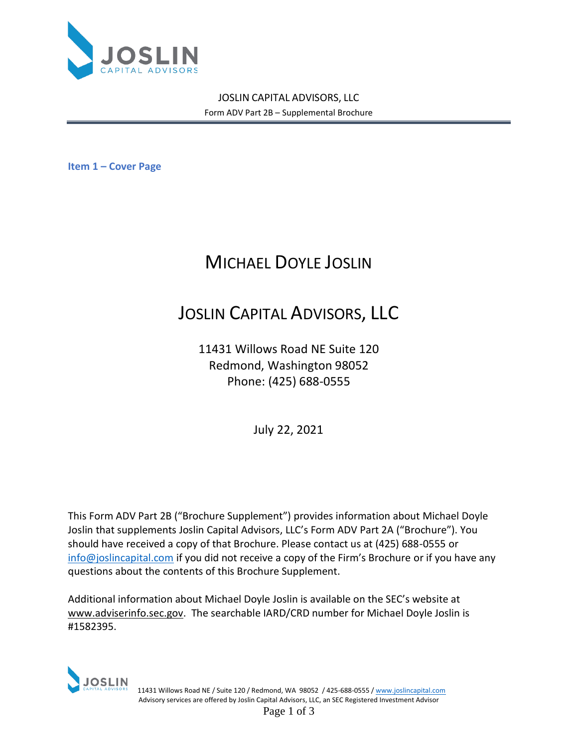

**Item 1 – Cover Page**

# MICHAEL DOYLE JOSLIN

# JOSLIN CAPITAL ADVISORS, LLC

11431 Willows Road NE Suite 120 Redmond, Washington 98052 Phone: (425) 688-0555

July 22, 2021

This Form ADV Part 2B ("Brochure Supplement") provides information about Michael Doyle Joslin that supplements Joslin Capital Advisors, LLC's Form ADV Part 2A ("Brochure"). You should have received a copy of that Brochure. Please contact us at (425) 688-0555 or [info@joslincapital.com](mailto:info@joslincapital.com) if you did not receive a copy of the Firm's Brochure or if you have any questions about the contents of this Brochure Supplement.

Additional information about Michael Doyle Joslin is available on the SEC's website at [www.adviserinfo.sec.gov.](http://www.adviserinfo.sec.gov/) The searchable IARD/CRD number for Michael Doyle Joslin is #1582395.



 11431 Willows Road NE / Suite 120 / Redmond, WA 98052 / 425-688-0555 [/ www.joslincapital.com](http://www.joslincapital.com/) Advisory services are offered by Joslin Capital Advisors, LLC, an SEC Registered Investment Advisor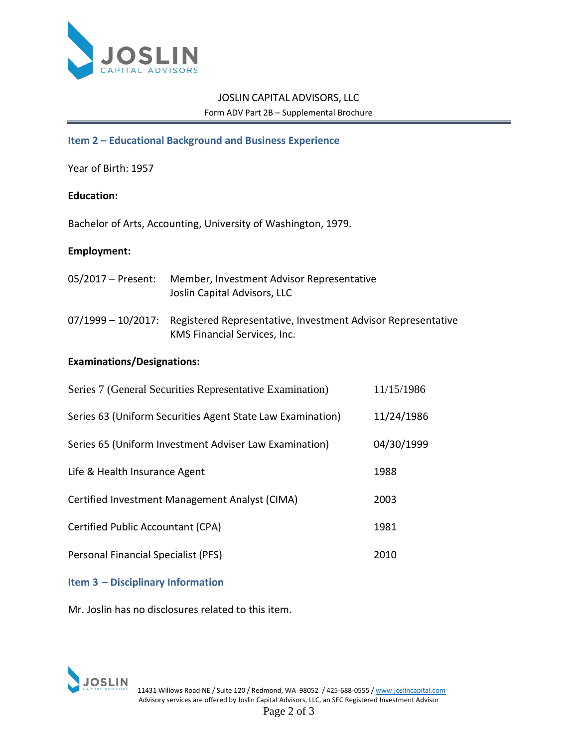

## **Item 2 – Educational Background and Business Experience**

Year of Birth: 1957

## **Education:**

Bachelor of Arts, Accounting, University of Washington, 1979.

### **Employment:**

| 05/2017 – Present: | Member, Investment Advisor Representative<br>Joslin Capital Advisors, LLC                                       |
|--------------------|-----------------------------------------------------------------------------------------------------------------|
|                    | 07/1999 - 10/2017: Registered Representative, Investment Advisor Representative<br>KMS Financial Services, Inc. |

### **Examinations/Designations:**

| Series 7 (General Securities Representative Examination)   | 11/15/1986 |
|------------------------------------------------------------|------------|
| Series 63 (Uniform Securities Agent State Law Examination) | 11/24/1986 |
| Series 65 (Uniform Investment Adviser Law Examination)     | 04/30/1999 |
| Life & Health Insurance Agent                              | 1988       |
| Certified Investment Management Analyst (CIMA)             | 2003       |
| Certified Public Accountant (CPA)                          | 1981       |
| Personal Financial Specialist (PFS)                        | 2010       |

## **Item 3 – Disciplinary Information**

Mr. Joslin has no disclosures related to this item.

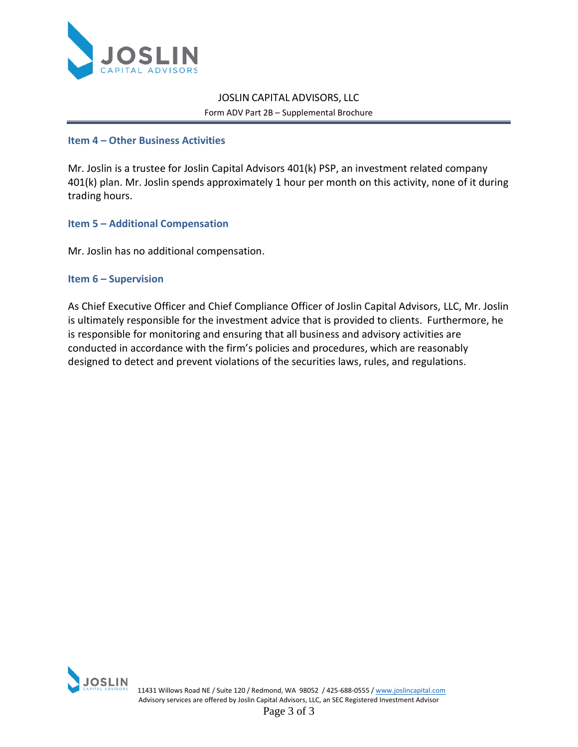

### **Item 4 – Other Business Activities**

Mr. Joslin is a trustee for Joslin Capital Advisors 401(k) PSP, an investment related company 401(k) plan. Mr. Joslin spends approximately 1 hour per month on this activity, none of it during trading hours.

### **Item 5 – Additional Compensation**

Mr. Joslin has no additional compensation.

### **Item 6 – Supervision**

As Chief Executive Officer and Chief Compliance Officer of Joslin Capital Advisors, LLC, Mr. Joslin is ultimately responsible for the investment advice that is provided to clients. Furthermore, he is responsible for monitoring and ensuring that all business and advisory activities are conducted in accordance with the firm's policies and procedures, which are reasonably designed to detect and prevent violations of the securities laws, rules, and regulations.

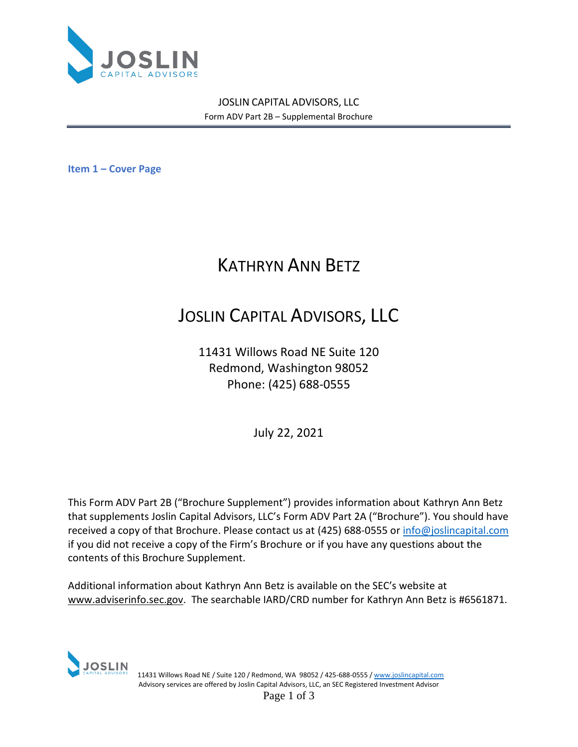

**Item 1 – Cover Page**

# KATHRYN ANN BETZ

# JOSLIN CAPITAL ADVISORS, LLC

11431 Willows Road NE Suite 120 Redmond, Washington 98052 Phone: (425) 688-0555

July 22, 2021

This Form ADV Part 2B ("Brochure Supplement") provides information about Kathryn Ann Betz that supplements Joslin Capital Advisors, LLC's Form ADV Part 2A ("Brochure"). You should have received a copy of that Brochure. Please contact us at (425) 688-0555 o[r info@joslincapital.com](mailto:info@joslincapital.com) if you did not receive a copy of the Firm's Brochure or if you have any questions about the contents of this Brochure Supplement.

Additional information about Kathryn Ann Betz is available on the SEC's website at [www.adviserinfo.sec.gov.](http://www.adviserinfo.sec.gov/) The searchable IARD/CRD number for Kathryn Ann Betz is #6561871.



 11431 Willows Road NE / Suite 120 / Redmond, WA 98052 / 425-688-0555 [/ www.joslincapital.com](http://www.joslincapital.com/) Advisory services are offered by Joslin Capital Advisors, LLC, an SEC Registered Investment Advisor

Page 1 of 3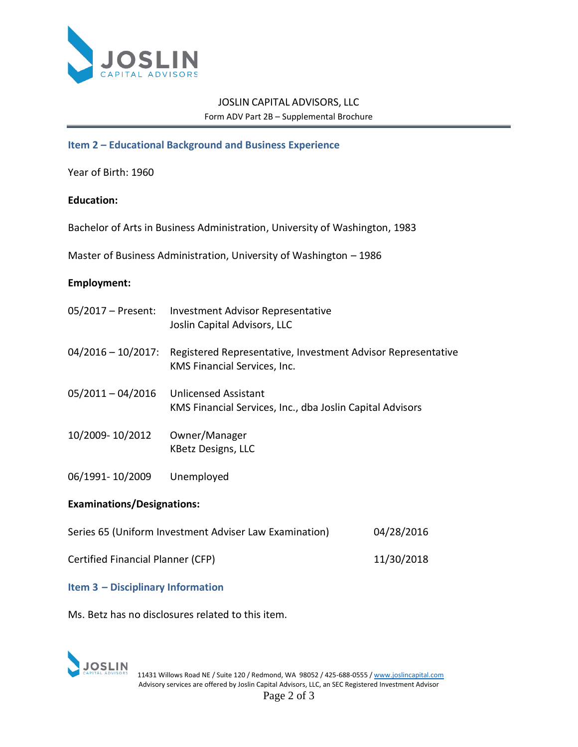

## **Item 2 – Educational Background and Business Experience**

Year of Birth: 1960

### **Education:**

Bachelor of Arts in Business Administration, University of Washington, 1983

Master of Business Administration, University of Washington – 1986

### **Employment:**

|                                   | 05/2017 – Present: Investment Advisor Representative<br>Joslin Capital Advisors, LLC         |  |
|-----------------------------------|----------------------------------------------------------------------------------------------|--|
| $04/2016 - 10/2017$ :             | Registered Representative, Investment Advisor Representative<br>KMS Financial Services, Inc. |  |
| $05/2011 - 04/2016$               | <b>Unlicensed Assistant</b><br>KMS Financial Services, Inc., dba Joslin Capital Advisors     |  |
| 10/2009-10/2012                   | Owner/Manager<br><b>KBetz Designs, LLC</b>                                                   |  |
| 06/1991-10/2009                   | Unemployed                                                                                   |  |
| <b>Examinations/Designations:</b> |                                                                                              |  |

| Certified Financial Planner (CFP) | 11/30/2018 |
|-----------------------------------|------------|

Series 65 (Uniform Investment Adviser Law Examination) 04/28/2016

### **Item 3 – Disciplinary Information**

Ms. Betz has no disclosures related to this item.

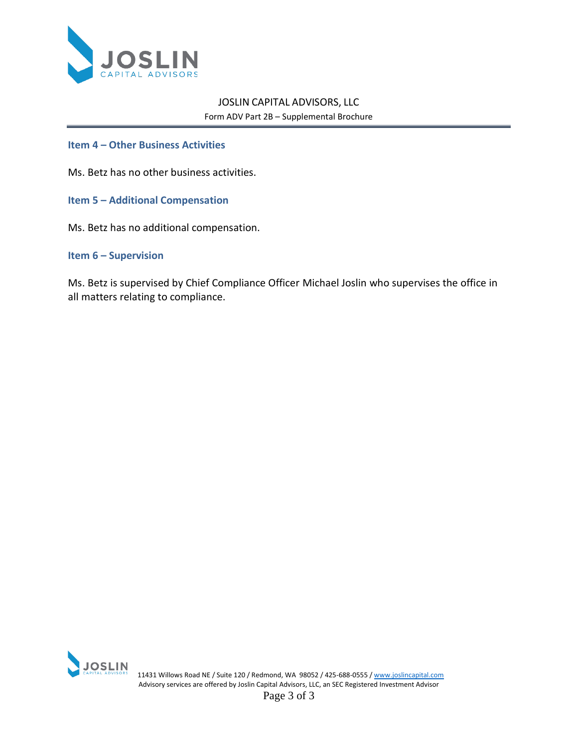

### **Item 4 – Other Business Activities**

Ms. Betz has no other business activities.

- **Item 5 – Additional Compensation**
- Ms. Betz has no additional compensation.

#### **Item 6 – Supervision**

Ms. Betz is supervised by Chief Compliance Officer Michael Joslin who supervises the office in all matters relating to compliance.



| JOSLIN<br>| CAPITAL ADVISORS | 11431 Willows Road NE / Suite 120 / Redmond, WA 98052 / 425-688-0555 [/ www.joslincapital.com](http://www.joslincapital.com/) Advisory services are offered by Joslin Capital Advisors, LLC, an SEC Registered Investment Advisor

Page 3 of 3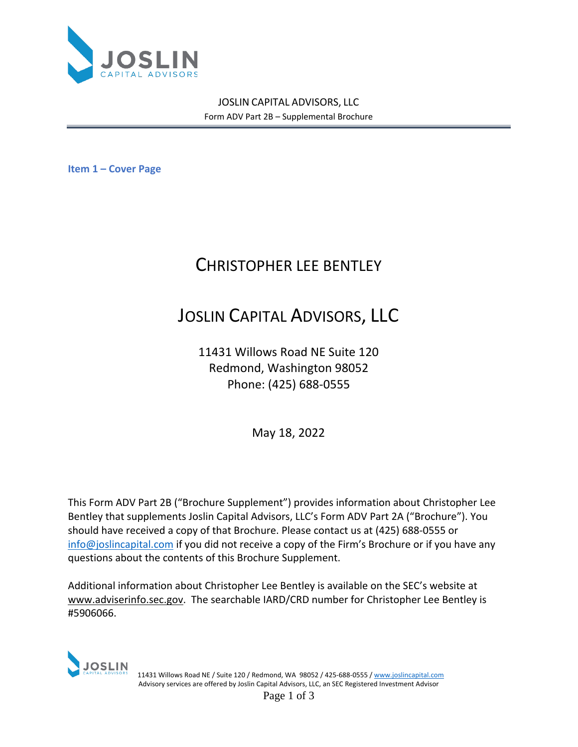

**Item 1 – Cover Page**

# CHRISTOPHER LEE BENTLEY

# JOSLIN CAPITAL ADVISORS, LLC

11431 Willows Road NE Suite 120 Redmond, Washington 98052 Phone: (425) 688-0555

May 18, 2022

This Form ADV Part 2B ("Brochure Supplement") provides information about Christopher Lee Bentley that supplements Joslin Capital Advisors, LLC's Form ADV Part 2A ("Brochure"). You should have received a copy of that Brochure. Please contact us at (425) 688-0555 or [info@joslincapital.com](mailto:info@joslincapital.com) if you did not receive a copy of the Firm's Brochure or if you have any questions about the contents of this Brochure Supplement.

Additional information about Christopher Lee Bentley is available on the SEC's website at [www.adviserinfo.sec.gov.](http://www.adviserinfo.sec.gov/) The searchable IARD/CRD number for Christopher Lee Bentley is #5906066.



 11431 Willows Road NE / Suite 120 / Redmond, WA 98052 / 425-688-0555 [/ www.joslincapital.com](http://www.joslincapital.com/) Advisory services are offered by Joslin Capital Advisors, LLC, an SEC Registered Investment Advisor Page 1 of 3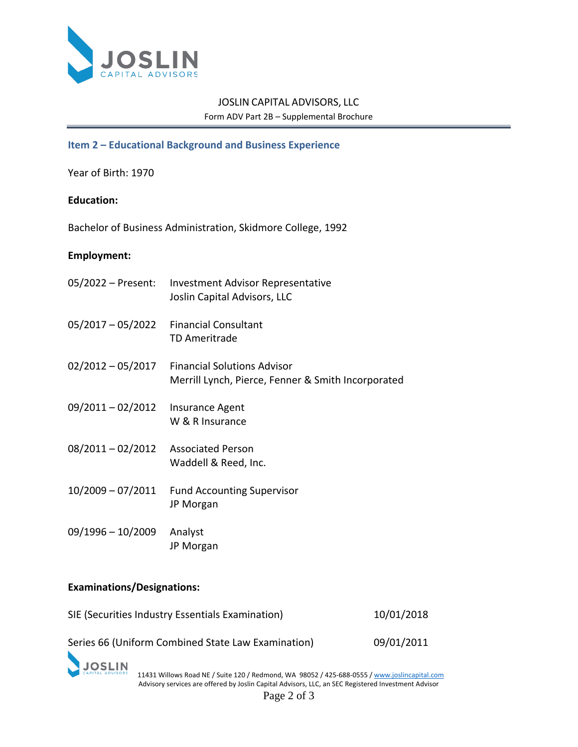

## **Item 2 – Educational Background and Business Experience**

Year of Birth: 1970

### **Education:**

Bachelor of Business Administration, Skidmore College, 1992

#### **Employment:**

| 05/2022 - Present: | Investment Advisor Representative<br>Joslin Capital Advisors, LLC                        |
|--------------------|------------------------------------------------------------------------------------------|
| 05/2017 - 05/2022  | <b>Financial Consultant</b><br><b>TD Ameritrade</b>                                      |
| 02/2012 - 05/2017  | <b>Financial Solutions Advisor</b><br>Merrill Lynch, Pierce, Fenner & Smith Incorporated |
| 09/2011-02/2012    | Insurance Agent<br>W & R Insurance                                                       |
| 08/2011 - 02/2012  | <b>Associated Person</b><br>Waddell & Reed, Inc.                                         |
| 10/2009 - 07/2011  | <b>Fund Accounting Supervisor</b><br>JP Morgan                                           |
| 09/1996 - 10/2009  | Analyst<br>JP Morgan                                                                     |

# **Examinations/Designations:**

| SIE (Securities Industry Essentials Examination)   | 10/01/2018 |
|----------------------------------------------------|------------|
| Series 66 (Uniform Combined State Law Examination) | 09/01/2011 |

JOSLIN<br>CAPITAL ADVISORS 11431 Willows Road NE / Suite 120 / Redmond, WA 98052 / 425-688-0555 [/ www.joslincapital.com](http://www.joslincapital.com/) Advisory services are offered by Joslin Capital Advisors, LLC, an SEC Registered Investment Advisor